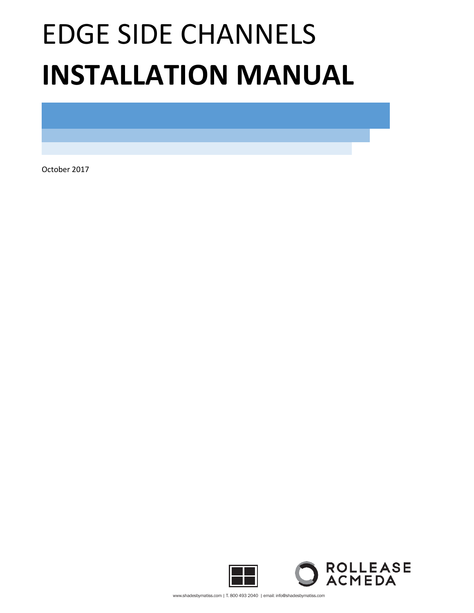# EDGE SIDE CHANNELS **INSTALLATION MANUAL**

October 2017



www.shadesbymatiss.com | T. 800 493 2040 | email: info@shadesbymatiss.com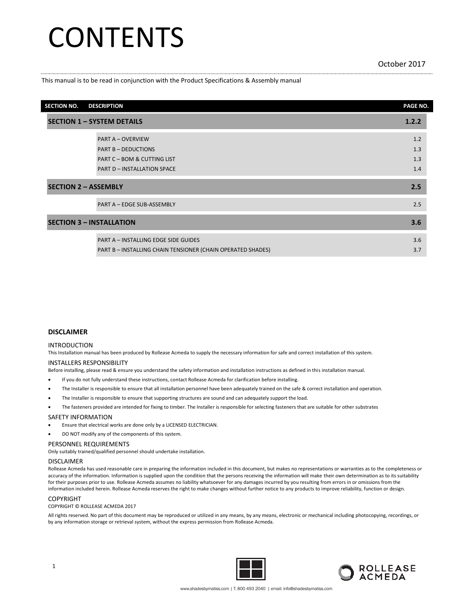## **CONTENTS**

This manual is to be read in conjunction with the Product Specifications & Assembly manual

| <b>SECTION NO.</b>              | <b>DESCRIPTION</b>                                          | PAGE NO. |  |
|---------------------------------|-------------------------------------------------------------|----------|--|
|                                 | <b>SECTION 1 - SYSTEM DETAILS</b>                           | 1.2.2    |  |
|                                 | <b>PART A - OVERVIEW</b>                                    | 1.2      |  |
|                                 | <b>PART B-DEDUCTIONS</b>                                    | 1.3      |  |
|                                 | <b>PART C - BOM &amp; CUTTING LIST</b>                      | 1.3      |  |
|                                 | <b>PART D - INSTALLATION SPACE</b>                          | 1.4      |  |
| <b>SECTION 2 - ASSEMBLY</b>     |                                                             | 2.5      |  |
|                                 | PART A - EDGE SUB-ASSEMBLY                                  | 2.5      |  |
| <b>SECTION 3 - INSTALLATION</b> |                                                             | 3.6      |  |
|                                 | <b>PART A - INSTALLING EDGE SIDE GUIDES</b>                 | 3.6      |  |
|                                 | PART B - INSTALLING CHAIN TENSIONER (CHAIN OPERATED SHADES) | 3.7      |  |

#### **DISCLAIMER**

#### INTRODUCTION

This Installation manual has been produced by Rollease Acmeda to supply the necessary information for safe and correct installation of this system.

#### INSTALLERS RESPONSIBILITY

Before installing, please read & ensure you understand the safety information and installation instructions as defined in this installation manual.

- If you do not fully understand these instructions, contact Rollease Acmeda for clarification before installing.
- The Installer is responsible to ensure that all installation personnel have been adequately trained on the safe & correct installation and operation.
- The Installer is responsible to ensure that supporting structures are sound and can adequately support the load.

• The fasteners provided are intended for fixing to timber. The Installer is responsible for selecting fasteners that are suitable for other substrates

#### SAFETY INFORMATION

• Ensure that electrical works are done only by a LICENSED ELECTRICIAN.

DO NOT modify any of the components of this system.

#### PERSONNEL REQUIREMENTS

Only suitably trained/qualified personnel should undertake installation.

#### DISCLAIMER

Rollease Acmeda has used reasonable care in preparing the information included in this document, but makes no representations or warranties as to the completeness or accuracy of the information. Information is supplied upon the condition that the persons receiving the information will make their own determination as to its suitability for their purposes prior to use. Rollease Acmeda assumes no liability whatsoever for any damages incurred by you resulting from errors in or omissions from the information included herein. Rollease Acmeda reserves the right to make changes without further notice to any products to improve reliability, function or design.

#### COPYRIGHT

COPYRIGHT © ROLLEASE ACMEDA 2017

All rights reserved. No part of this document may be reproduced or utilized in any means, by any means, electronic or mechanical including photocopying, recordings, or by any information storage or retrieval system, without the express permission from Rollease Acmeda.



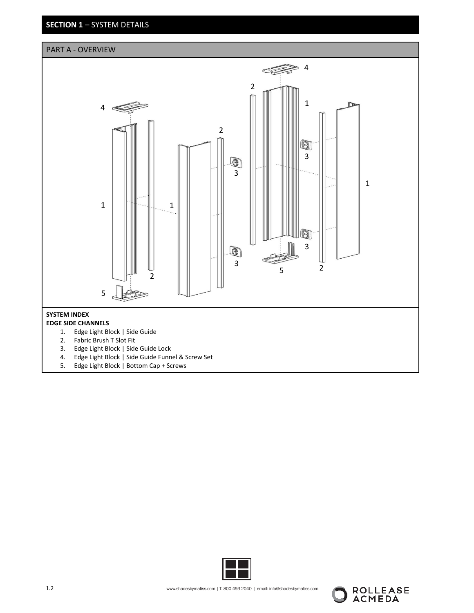**SECTION 1** – SYSTEM DETAILS





ROLLEASE<br>ACMEDA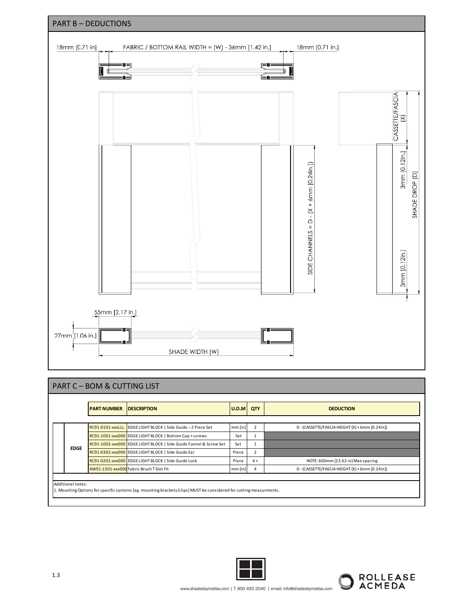

## PART C – BOM & CUTTING LIST

|             | <b>PART NUMBER</b> | <b>IDESCRIPTION</b>                                               | $ U.0.M $ QTY |      | <b>DEDUCTION</b>                                |
|-------------|--------------------|-------------------------------------------------------------------|---------------|------|-------------------------------------------------|
|             |                    |                                                                   |               |      |                                                 |
|             |                    | RC91-0101-xxxLLL EDGE LIGHT BLOCK   Side Guide - 2 Piece Set      | $mm$ [in]     |      | D - (CASSETTE/FASCIA HEIGHT (X) + 6mm [0.24in]) |
|             |                    | RC91-1001-xxx000 EDGE LIGHT BLOCK   Bottom Cap + screws           | Set           |      |                                                 |
|             |                    | RC91-1002-xxx000 EDGE LIGHT BLOCK   Side Guide Funnel & Screw Set | Set           |      |                                                 |
| <b>EDGE</b> |                    | RC91-0302-xxx000 EDGE LIGHT BLOCK   Side Guide Ear                | Piece         |      |                                                 |
|             |                    | RC91-0201-xxx000 EDGE LIGHT BLOCK   Side Guide Lock               | Piece         | $4+$ | NOTE: 600mm [23.62 in] Max spacing              |
|             |                    | AW91-1501-xxx000 Fabric Brush T Slot Fit                          | $mm$ [in]     | 4    | D - (CASSETTE/FASCIA HEIGHT (X) + 6mm [0.24in]) |



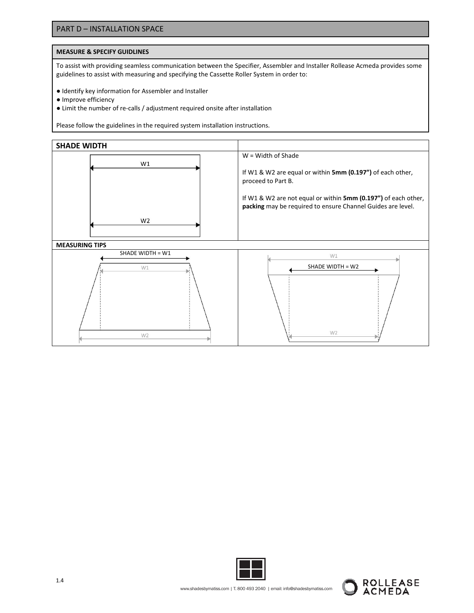### PART D – INSTALLATION SPACE

#### **MEASURE & SPECIFY GUIDLINES**

To assist with providing seamless communication between the Specifier, Assembler and Installer Rollease Acmeda provides some guidelines to assist with measuring and specifying the Cassette Roller System in order to:

- Identify key information for Assembler and Installer
- Improve efficiency
- Limit the number of re-calls / adjustment required onsite after installation

Please follow the guidelines in the required system installation instructions.





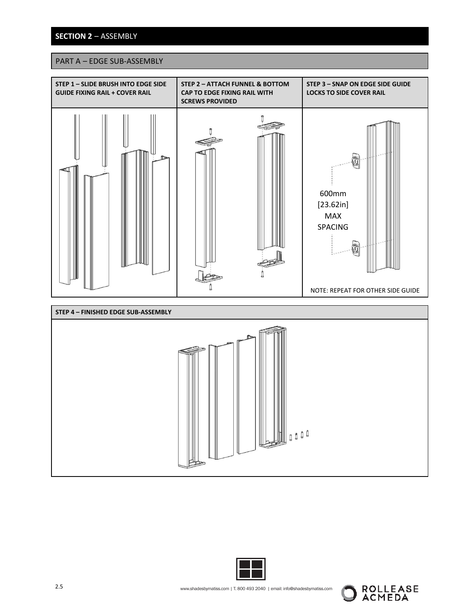## **SECTION 2** – ASSEMBLY

## PART A – EDGE SUB-ASSEMBLY





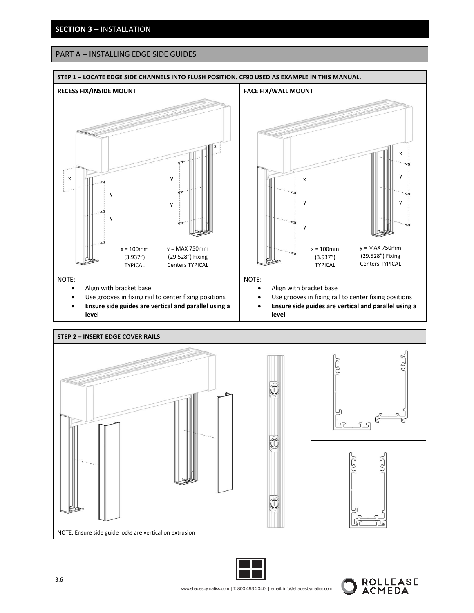## **SECTION 3** – INSTALLATION

## PART A – INSTALLING EDGE SIDE GUIDES